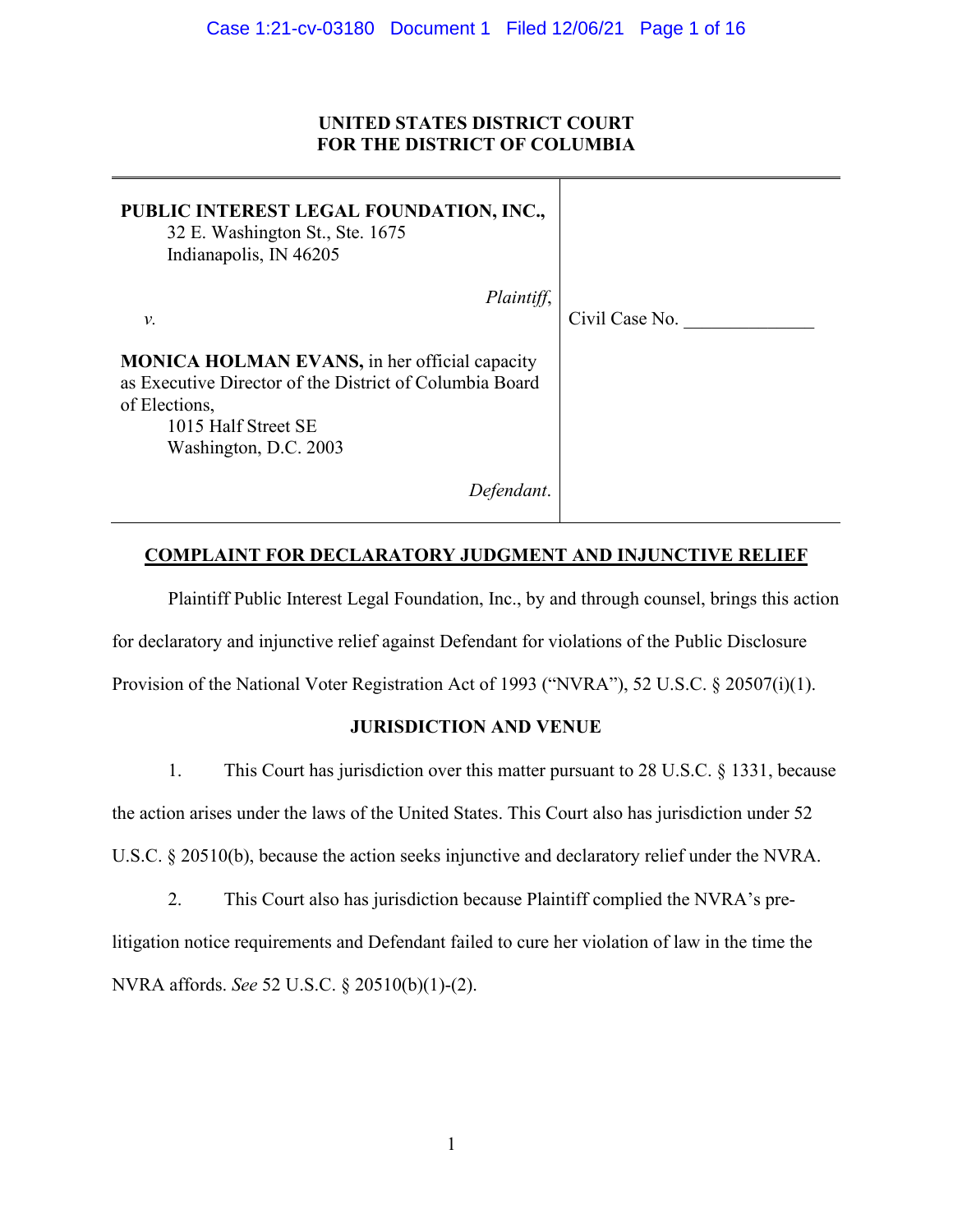# **UNITED STATES DISTRICT COURT FOR THE DISTRICT OF COLUMBIA**

| PUBLIC INTEREST LEGAL FOUNDATION, INC.,<br>32 E. Washington St., Ste. 1675<br>Indianapolis, IN 46205                                                                              |                |
|-----------------------------------------------------------------------------------------------------------------------------------------------------------------------------------|----------------|
| Plaintiff,<br>$\nu$ .                                                                                                                                                             | Civil Case No. |
| <b>MONICA HOLMAN EVANS</b> , in her official capacity<br>as Executive Director of the District of Columbia Board<br>of Elections,<br>1015 Half Street SE<br>Washington, D.C. 2003 |                |
| Detendant.                                                                                                                                                                        |                |

# **COMPLAINT FOR DECLARATORY JUDGMENT AND INJUNCTIVE RELIEF**

Plaintiff Public Interest Legal Foundation, Inc., by and through counsel, brings this action for declaratory and injunctive relief against Defendant for violations of the Public Disclosure Provision of the National Voter Registration Act of 1993 ("NVRA"), 52 U.S.C. § 20507(i)(1).

# **JURISDICTION AND VENUE**

1. This Court has jurisdiction over this matter pursuant to 28 U.S.C. § 1331, because the action arises under the laws of the United States. This Court also has jurisdiction under 52 U.S.C. § 20510(b), because the action seeks injunctive and declaratory relief under the NVRA.

2. This Court also has jurisdiction because Plaintiff complied the NVRA's prelitigation notice requirements and Defendant failed to cure her violation of law in the time the NVRA affords. *See* 52 U.S.C. § 20510(b)(1)-(2).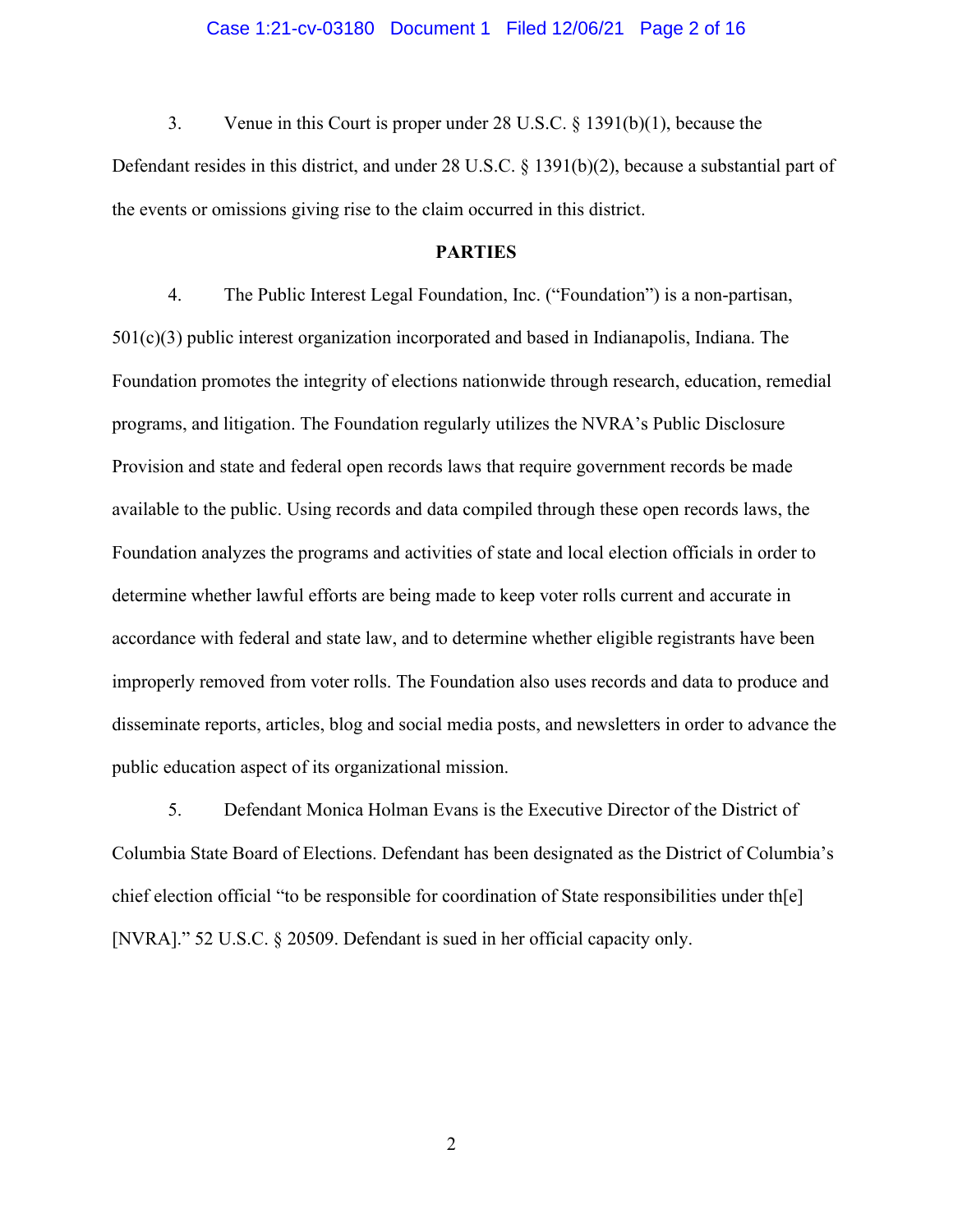### Case 1:21-cv-03180 Document 1 Filed 12/06/21 Page 2 of 16

3. Venue in this Court is proper under 28 U.S.C. § 1391(b)(1), because the

Defendant resides in this district, and under 28 U.S.C. § 1391(b)(2), because a substantial part of the events or omissions giving rise to the claim occurred in this district.

#### **PARTIES**

4. The Public Interest Legal Foundation, Inc. ("Foundation") is a non-partisan,  $501(c)(3)$  public interest organization incorporated and based in Indianapolis, Indiana. The Foundation promotes the integrity of elections nationwide through research, education, remedial programs, and litigation. The Foundation regularly utilizes the NVRA's Public Disclosure Provision and state and federal open records laws that require government records be made available to the public. Using records and data compiled through these open records laws, the Foundation analyzes the programs and activities of state and local election officials in order to determine whether lawful efforts are being made to keep voter rolls current and accurate in accordance with federal and state law, and to determine whether eligible registrants have been improperly removed from voter rolls. The Foundation also uses records and data to produce and disseminate reports, articles, blog and social media posts, and newsletters in order to advance the public education aspect of its organizational mission.

5. Defendant Monica Holman Evans is the Executive Director of the District of Columbia State Board of Elections. Defendant has been designated as the District of Columbia's chief election official "to be responsible for coordination of State responsibilities under th[e] [NVRA]." 52 U.S.C. § 20509. Defendant is sued in her official capacity only.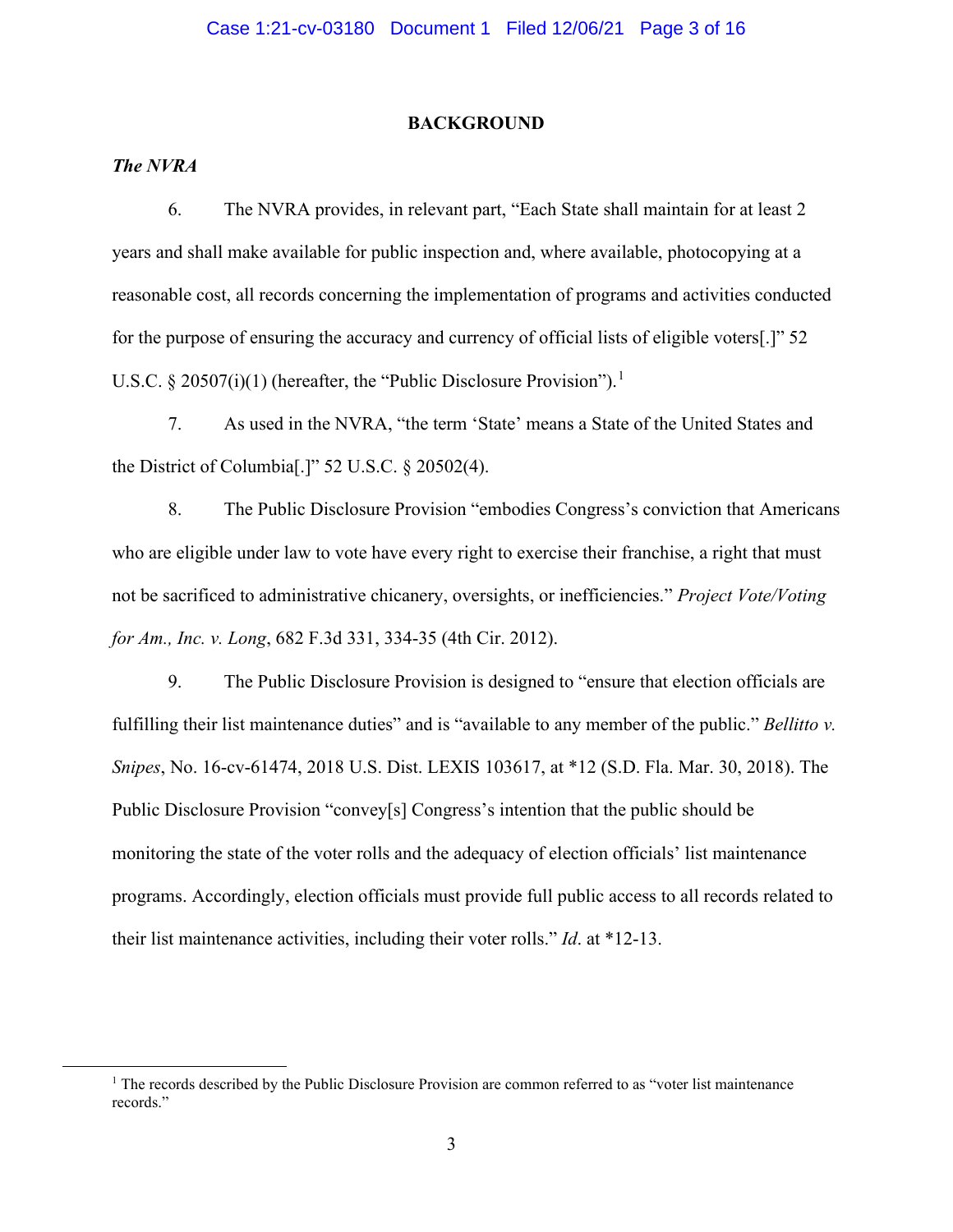#### **BACKGROUND**

# *The NVRA*

6. The NVRA provides, in relevant part, "Each State shall maintain for at least 2 years and shall make available for public inspection and, where available, photocopying at a reasonable cost, all records concerning the implementation of programs and activities conducted for the purpose of ensuring the accuracy and currency of official lists of eligible voters[.]" 52 U.S.C. § 20507(i)([1](#page-2-0)) (hereafter, the "Public Disclosure Provision").<sup>1</sup>

7. As used in the NVRA, "the term 'State' means a State of the United States and the District of Columbia[.]" 52 U.S.C. § 20502(4).

8. The Public Disclosure Provision "embodies Congress's conviction that Americans who are eligible under law to vote have every right to exercise their franchise, a right that must not be sacrificed to administrative chicanery, oversights, or inefficiencies." *Project Vote/Voting for Am., Inc. v. Long*, 682 F.3d 331, 334-35 (4th Cir. 2012).

9. The Public Disclosure Provision is designed to "ensure that election officials are fulfilling their list maintenance duties" and is "available to any member of the public." *Bellitto v. Snipes*, No. 16-cv-61474, 2018 U.S. Dist. LEXIS 103617, at \*12 (S.D. Fla. Mar. 30, 2018). The Public Disclosure Provision "convey[s] Congress's intention that the public should be monitoring the state of the voter rolls and the adequacy of election officials' list maintenance programs. Accordingly, election officials must provide full public access to all records related to their list maintenance activities, including their voter rolls." *Id*. at \*12-13.

<span id="page-2-0"></span> $<sup>1</sup>$  The records described by the Public Disclosure Provision are common referred to as "voter list maintenance"</sup> records."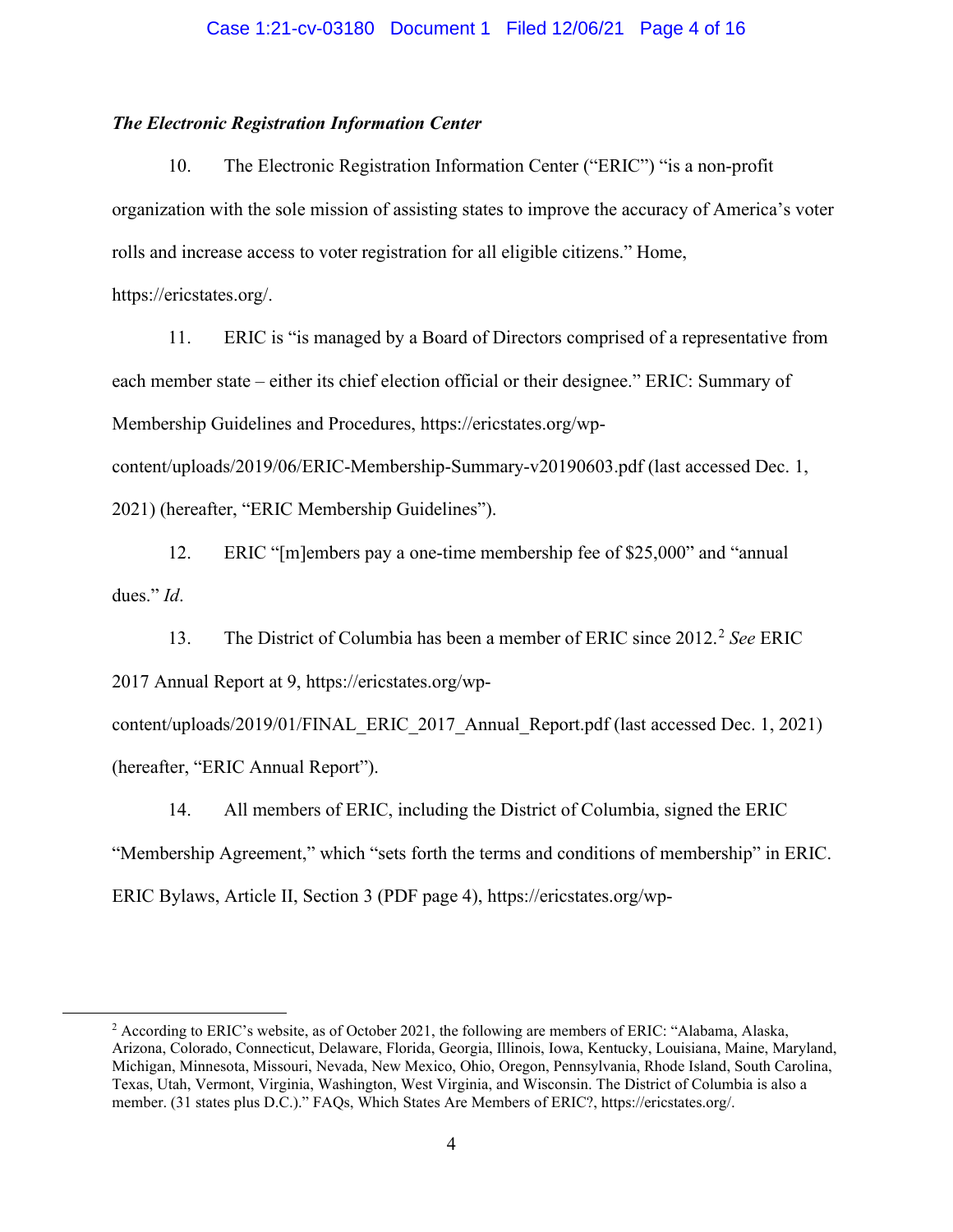### *The Electronic Registration Information Center*

10. The Electronic Registration Information Center ("ERIC") "is a non-profit organization with the sole mission of assisting states to improve the accuracy of America's voter rolls and increase access to voter registration for all eligible citizens." Home,

https://ericstates.org/.

11. ERIC is "is managed by a Board of Directors comprised of a representative from each member state – either its chief election official or their designee." ERIC: Summary of Membership Guidelines and Procedures, https://ericstates.org/wpcontent/uploads/2019/06/ERIC-Membership-Summary-v20190603.pdf (last accessed Dec. 1,

2021) (hereafter, "ERIC Membership Guidelines").

12. ERIC "[m]embers pay a one-time membership fee of \$25,000" and "annual dues." *Id*.

13. The District of Columbia has been a member of ERIC since [2](#page-3-0)012.<sup>2</sup> See ERIC 2017 Annual Report at 9, https://ericstates.org/wp-

content/uploads/2019/01/FINAL\_ERIC\_2017\_Annual\_Report.pdf (last accessed Dec. 1, 2021) (hereafter, "ERIC Annual Report").

14. All members of ERIC, including the District of Columbia, signed the ERIC "Membership Agreement," which "sets forth the terms and conditions of membership" in ERIC. ERIC Bylaws, Article II, Section 3 (PDF page 4), https://ericstates.org/wp-

<span id="page-3-0"></span><sup>&</sup>lt;sup>2</sup> According to ERIC's website, as of October 2021, the following are members of ERIC: "Alabama, Alaska, Arizona, Colorado, Connecticut, Delaware, Florida, Georgia, Illinois, Iowa, Kentucky, Louisiana, Maine, Maryland, Michigan, Minnesota, Missouri, Nevada, New Mexico, Ohio, Oregon, Pennsylvania, Rhode Island, South Carolina, Texas, Utah, Vermont, Virginia, Washington, West Virginia, and Wisconsin. The District of Columbia is also a member. (31 states plus D.C.)." FAQs, Which States Are Members of ERIC?, https://ericstates.org/.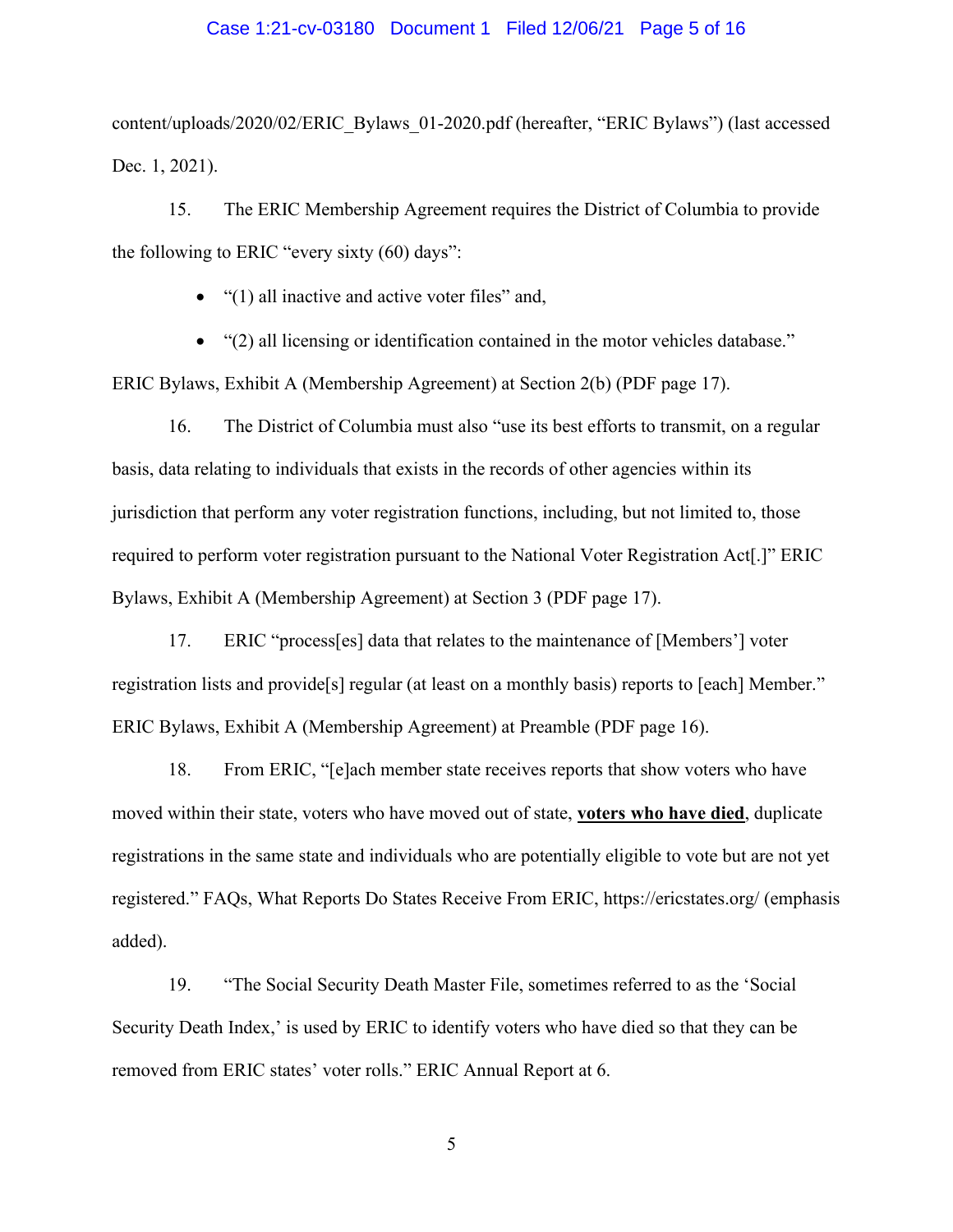#### Case 1:21-cv-03180 Document 1 Filed 12/06/21 Page 5 of 16

content/uploads/2020/02/ERIC\_Bylaws\_01-2020.pdf (hereafter, "ERIC Bylaws") (last accessed Dec. 1, 2021).

15. The ERIC Membership Agreement requires the District of Columbia to provide the following to ERIC "every sixty (60) days":

- "(1) all inactive and active voter files" and,
- "(2) all licensing or identification contained in the motor vehicles database."

ERIC Bylaws, Exhibit A (Membership Agreement) at Section 2(b) (PDF page 17).

16. The District of Columbia must also "use its best efforts to transmit, on a regular basis, data relating to individuals that exists in the records of other agencies within its jurisdiction that perform any voter registration functions, including, but not limited to, those required to perform voter registration pursuant to the National Voter Registration Act[.]" ERIC Bylaws, Exhibit A (Membership Agreement) at Section 3 (PDF page 17).

17. ERIC "process[es] data that relates to the maintenance of [Members'] voter registration lists and provide[s] regular (at least on a monthly basis) reports to [each] Member." ERIC Bylaws, Exhibit A (Membership Agreement) at Preamble (PDF page 16).

18. From ERIC, "[e]ach member state receives reports that show voters who have moved within their state, voters who have moved out of state, **voters who have died**, duplicate registrations in the same state and individuals who are potentially eligible to vote but are not yet registered." FAQs, What Reports Do States Receive From ERIC, https://ericstates.org/ (emphasis added).

19. "The Social Security Death Master File, sometimes referred to as the 'Social Security Death Index,' is used by ERIC to identify voters who have died so that they can be removed from ERIC states' voter rolls." ERIC Annual Report at 6.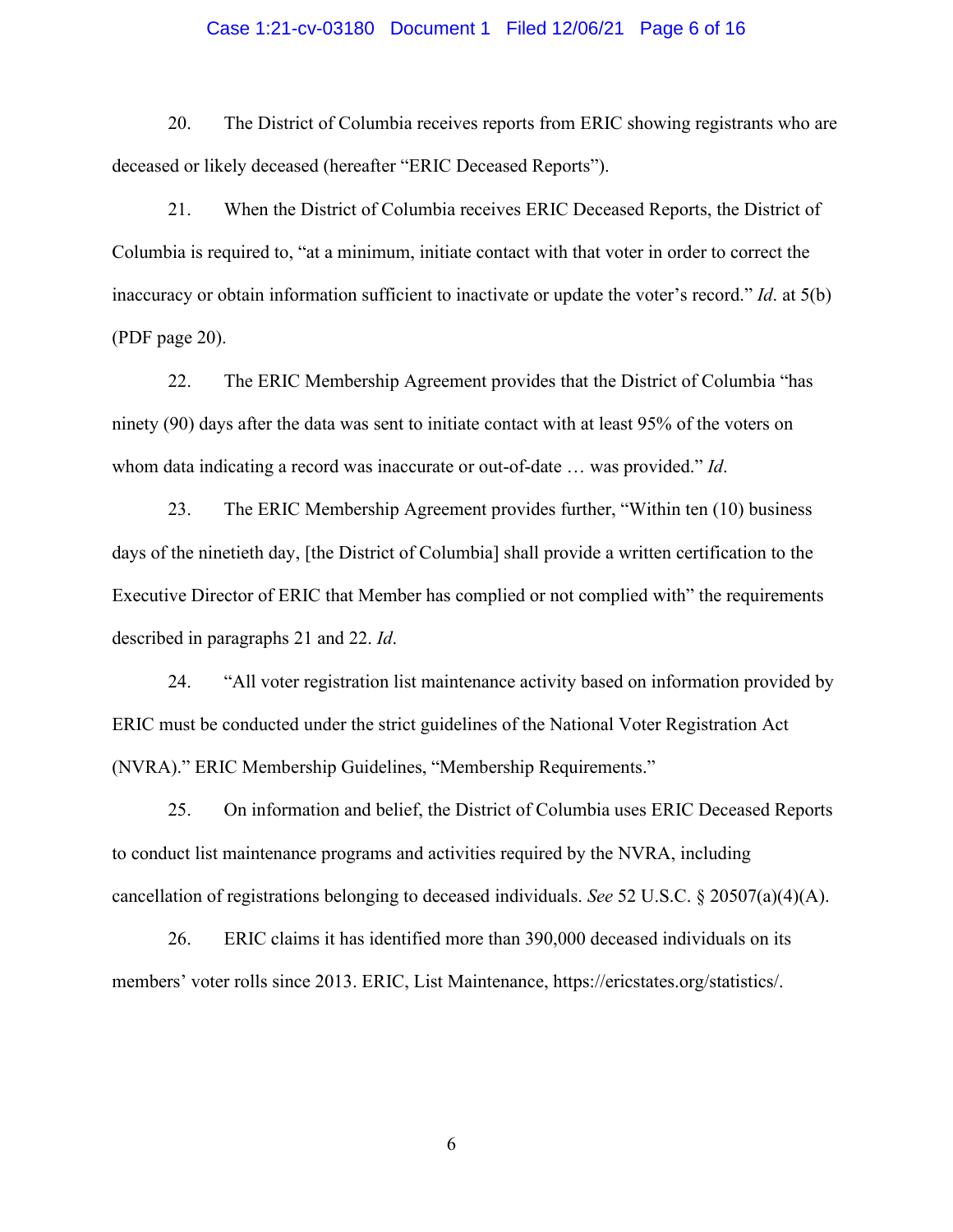### Case 1:21-cv-03180 Document 1 Filed 12/06/21 Page 6 of 16

20. The District of Columbia receives reports from ERIC showing registrants who are deceased or likely deceased (hereafter "ERIC Deceased Reports").

21. When the District of Columbia receives ERIC Deceased Reports, the District of Columbia is required to, "at a minimum, initiate contact with that voter in order to correct the inaccuracy or obtain information sufficient to inactivate or update the voter's record." *Id*. at 5(b) (PDF page 20).

22. The ERIC Membership Agreement provides that the District of Columbia "has ninety (90) days after the data was sent to initiate contact with at least 95% of the voters on whom data indicating a record was inaccurate or out-of-date … was provided." *Id*.

23. The ERIC Membership Agreement provides further, "Within ten (10) business days of the ninetieth day, [the District of Columbia] shall provide a written certification to the Executive Director of ERIC that Member has complied or not complied with" the requirements described in paragraphs 21 and 22. *Id*.

24. "All voter registration list maintenance activity based on information provided by ERIC must be conducted under the strict guidelines of the National Voter Registration Act (NVRA)." ERIC Membership Guidelines, "Membership Requirements."

25. On information and belief, the District of Columbia uses ERIC Deceased Reports to conduct list maintenance programs and activities required by the NVRA, including cancellation of registrations belonging to deceased individuals. *See* 52 U.S.C. § 20507(a)(4)(A).

26. ERIC claims it has identified more than 390,000 deceased individuals on its members' voter rolls since 2013. ERIC, List Maintenance, https://ericstates.org/statistics/.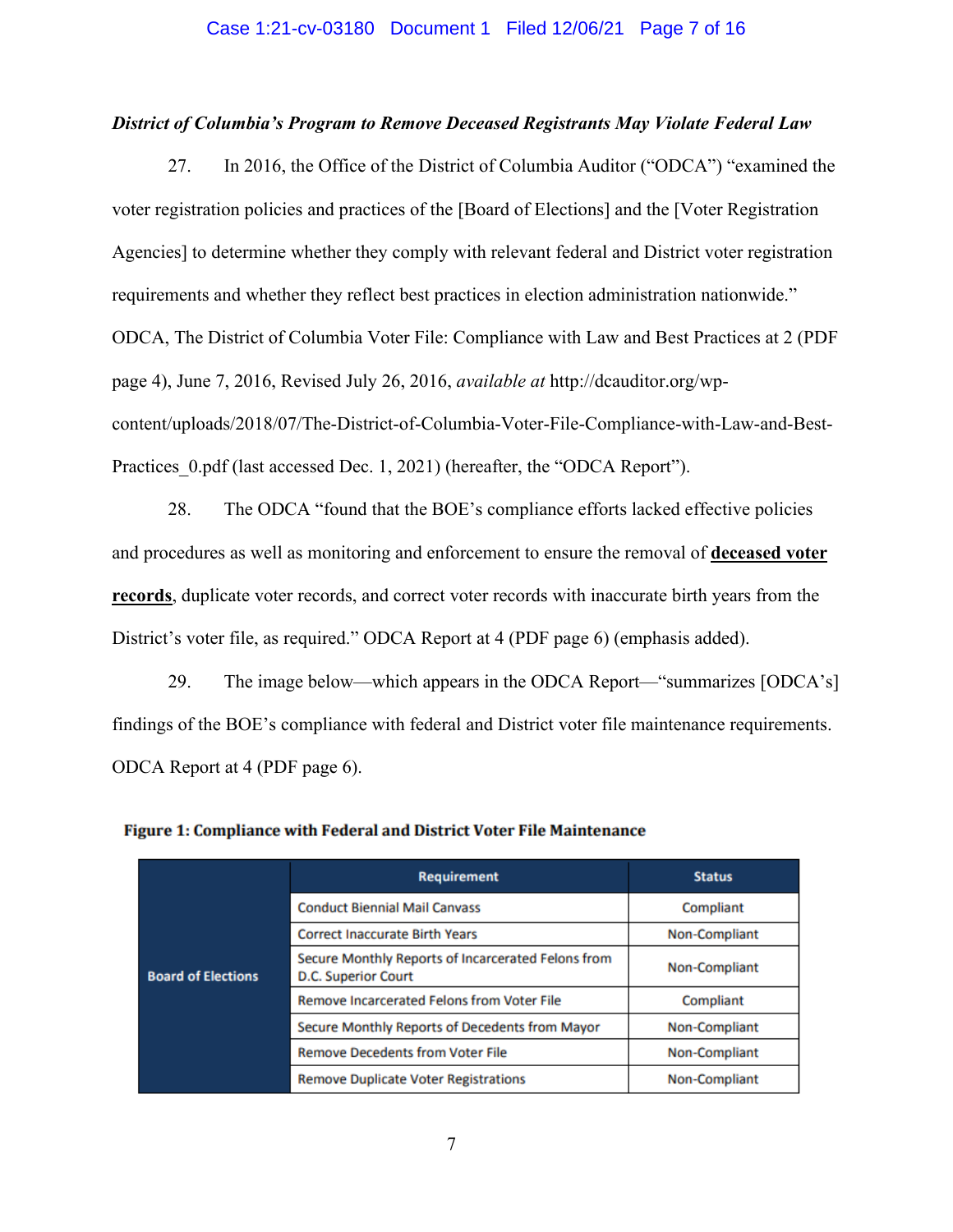### Case 1:21-cv-03180 Document 1 Filed 12/06/21 Page 7 of 16

#### *District of Columbia's Program to Remove Deceased Registrants May Violate Federal Law*

27. In 2016, the Office of the District of Columbia Auditor ("ODCA") "examined the voter registration policies and practices of the [Board of Elections] and the [Voter Registration Agencies] to determine whether they comply with relevant federal and District voter registration requirements and whether they reflect best practices in election administration nationwide." ODCA, The District of Columbia Voter File: Compliance with Law and Best Practices at 2 (PDF page 4), June 7, 2016, Revised July 26, 2016, *available at* http://dcauditor.org/wpcontent/uploads/2018/07/The-District-of-Columbia-Voter-File-Compliance-with-Law-and-Best-Practices 0.pdf (last accessed Dec. 1, 2021) (hereafter, the "ODCA Report").

28. The ODCA "found that the BOE's compliance efforts lacked effective policies and procedures as well as monitoring and enforcement to ensure the removal of **deceased voter records**, duplicate voter records, and correct voter records with inaccurate birth years from the District's voter file, as required." ODCA Report at 4 (PDF page 6) (emphasis added).

29. The image below—which appears in the ODCA Report—"summarizes [ODCA's] findings of the BOE's compliance with federal and District voter file maintenance requirements. ODCA Report at 4 (PDF page 6).

|                           | <b>Requirement</b>                                                        | <b>Status</b>        |  |
|---------------------------|---------------------------------------------------------------------------|----------------------|--|
|                           | <b>Conduct Biennial Mail Canvass</b>                                      | Compliant            |  |
|                           | <b>Correct Inaccurate Birth Years</b>                                     | Non-Compliant        |  |
| <b>Board of Elections</b> | Secure Monthly Reports of Incarcerated Felons from<br>D.C. Superior Court | Non-Compliant        |  |
|                           | <b>Remove Incarcerated Felons from Voter File</b>                         | Compliant            |  |
|                           | Secure Monthly Reports of Decedents from Mayor                            | Non-Compliant        |  |
|                           | <b>Remove Decedents from Voter File</b>                                   | Non-Compliant        |  |
|                           | <b>Remove Duplicate Voter Registrations</b>                               | <b>Non-Compliant</b> |  |

|  |  |  |  | Figure 1: Compliance with Federal and District Voter File Maintenance |
|--|--|--|--|-----------------------------------------------------------------------|
|--|--|--|--|-----------------------------------------------------------------------|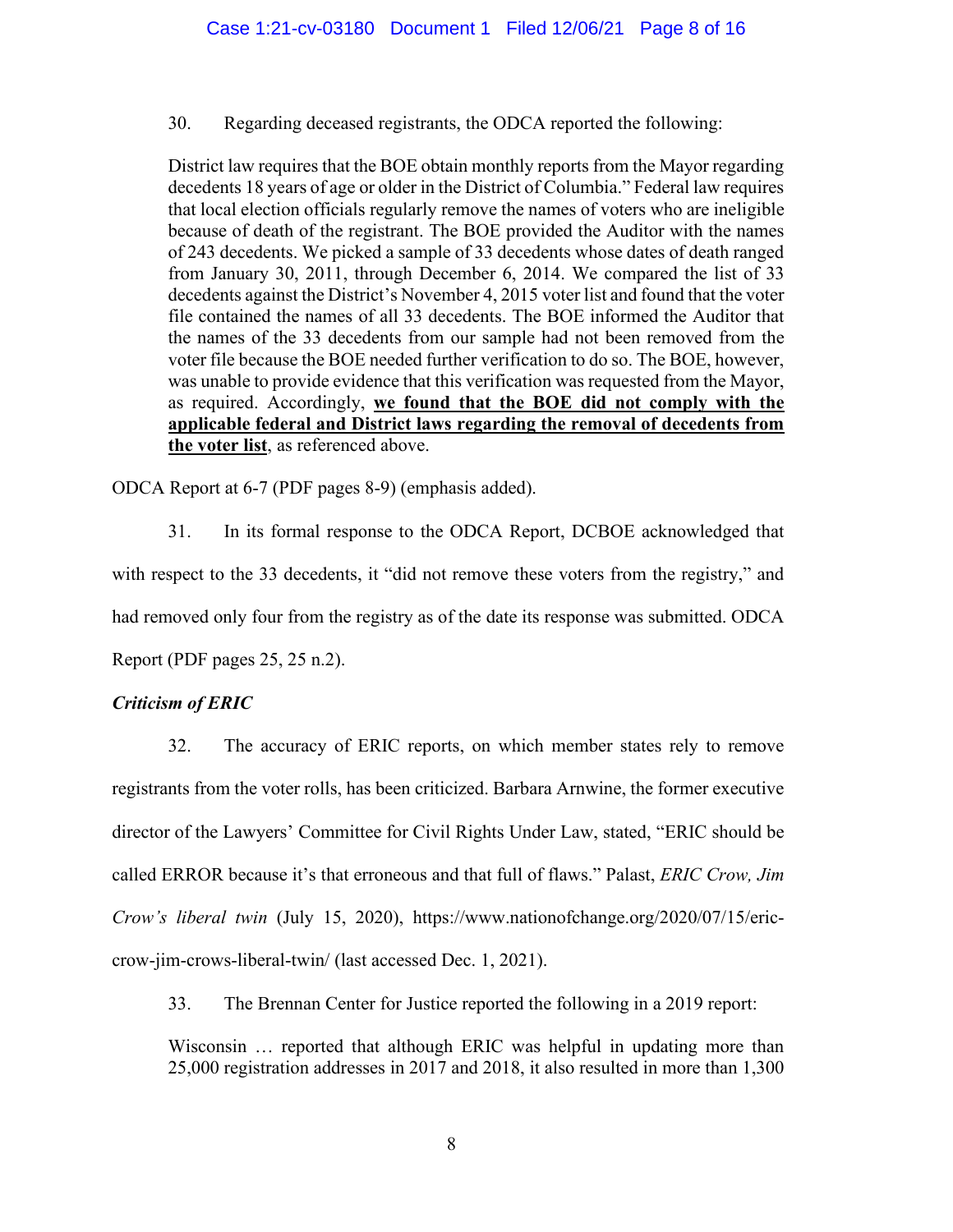30. Regarding deceased registrants, the ODCA reported the following:

District law requires that the BOE obtain monthly reports from the Mayor regarding decedents 18 years of age or older in the District of Columbia." Federal law requires that local election officials regularly remove the names of voters who are ineligible because of death of the registrant. The BOE provided the Auditor with the names of 243 decedents. We picked a sample of 33 decedents whose dates of death ranged from January 30, 2011, through December 6, 2014. We compared the list of 33 decedents against the District's November 4, 2015 voter list and found that the voter file contained the names of all 33 decedents. The BOE informed the Auditor that the names of the 33 decedents from our sample had not been removed from the voter file because the BOE needed further verification to do so. The BOE, however, was unable to provide evidence that this verification was requested from the Mayor, as required. Accordingly, **we found that the BOE did not comply with the applicable federal and District laws regarding the removal of decedents from the voter list**, as referenced above.

ODCA Report at 6-7 (PDF pages 8-9) (emphasis added).

31. In its formal response to the ODCA Report, DCBOE acknowledged that with respect to the 33 decedents, it "did not remove these voters from the registry," and had removed only four from the registry as of the date its response was submitted. ODCA Report (PDF pages 25, 25 n.2).

# *Criticism of ERIC*

32. The accuracy of ERIC reports, on which member states rely to remove registrants from the voter rolls, has been criticized. Barbara Arnwine, the former executive director of the Lawyers' Committee for Civil Rights Under Law, stated, "ERIC should be called ERROR because it's that erroneous and that full of flaws." Palast, *ERIC Crow, Jim Crow's liberal twin* (July 15, 2020), https://www.nationofchange.org/2020/07/15/ericcrow-jim-crows-liberal-twin/ (last accessed Dec. 1, 2021).

33. The Brennan Center for Justice reported the following in a 2019 report:

Wisconsin … reported that although ERIC was helpful in updating more than 25,000 registration addresses in 2017 and 2018, it also resulted in more than 1,300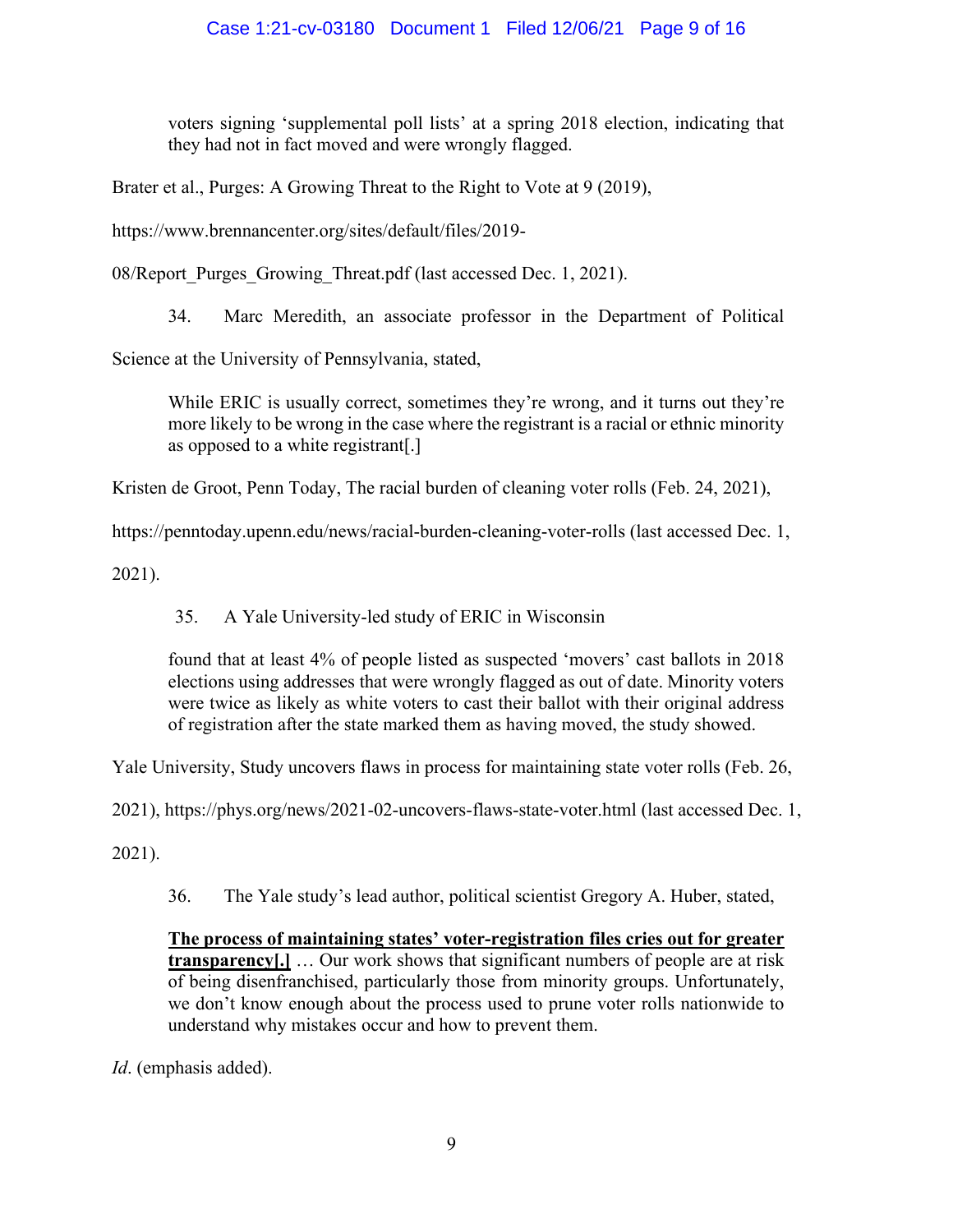voters signing 'supplemental poll lists' at a spring 2018 election, indicating that they had not in fact moved and were wrongly flagged.

Brater et al., Purges: A Growing Threat to the Right to Vote at 9 (2019),

https://www.brennancenter.org/sites/default/files/2019-

08/Report Purges Growing Threat.pdf (last accessed Dec. 1, 2021).

34. Marc Meredith, an associate professor in the Department of Political

Science at the University of Pennsylvania, stated,

While ERIC is usually correct, sometimes they're wrong, and it turns out they're more likely to be wrong in the case where the registrant is a racial or ethnic minority as opposed to a white registrant[.]

Kristen de Groot, Penn Today, The racial burden of cleaning voter rolls (Feb. 24, 2021),

https://penntoday.upenn.edu/news/racial-burden-cleaning-voter-rolls (last accessed Dec. 1,

2021).

35. A Yale University-led study of ERIC in Wisconsin

found that at least 4% of people listed as suspected 'movers' cast ballots in 2018 elections using addresses that were wrongly flagged as out of date. Minority voters were twice as likely as white voters to cast their ballot with their original address of registration after the state marked them as having moved, the study showed.

Yale University, Study uncovers flaws in process for maintaining state voter rolls (Feb. 26,

2021), https://phys.org/news/2021-02-uncovers-flaws-state-voter.html (last accessed Dec. 1,

2021).

36. The Yale study's lead author, political scientist Gregory A. Huber, stated,

**The process of maintaining states' voter-registration files cries out for greater transparency**[.] ... Our work shows that significant numbers of people are at risk of being disenfranchised, particularly those from minority groups. Unfortunately, we don't know enough about the process used to prune voter rolls nationwide to understand why mistakes occur and how to prevent them.

*Id*. (emphasis added).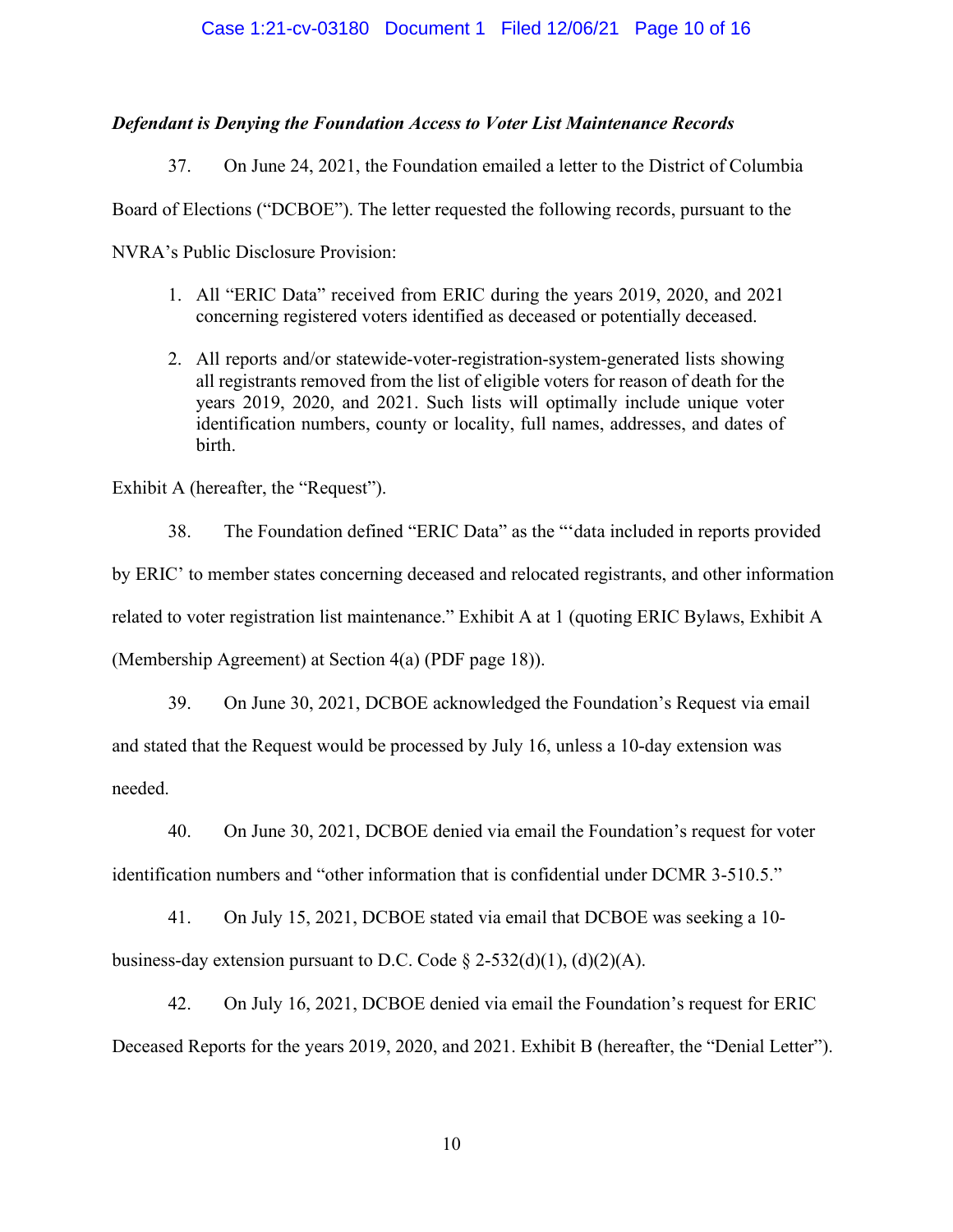### Case 1:21-cv-03180 Document 1 Filed 12/06/21 Page 10 of 16

### *Defendant is Denying the Foundation Access to Voter List Maintenance Records*

37. On June 24, 2021, the Foundation emailed a letter to the District of Columbia Board of Elections ("DCBOE"). The letter requested the following records, pursuant to the NVRA's Public Disclosure Provision:

- 1. All "ERIC Data" received from ERIC during the years 2019, 2020, and 2021 concerning registered voters identified as deceased or potentially deceased.
- 2. All reports and/or statewide-voter-registration-system-generated lists showing all registrants removed from the list of eligible voters for reason of death for the years 2019, 2020, and 2021. Such lists will optimally include unique voter identification numbers, county or locality, full names, addresses, and dates of birth.

Exhibit A (hereafter, the "Request").

38. The Foundation defined "ERIC Data" as the "'data included in reports provided by ERIC' to member states concerning deceased and relocated registrants, and other information related to voter registration list maintenance." Exhibit A at 1 (quoting ERIC Bylaws, Exhibit A (Membership Agreement) at Section 4(a) (PDF page 18)).

39. On June 30, 2021, DCBOE acknowledged the Foundation's Request via email and stated that the Request would be processed by July 16, unless a 10-day extension was needed.

40. On June 30, 2021, DCBOE denied via email the Foundation's request for voter

identification numbers and "other information that is confidential under DCMR 3-510.5."

41. On July 15, 2021, DCBOE stated via email that DCBOE was seeking a 10 business-day extension pursuant to D.C. Code  $\S$  2-532(d)(1), (d)(2)(A).

42. On July 16, 2021, DCBOE denied via email the Foundation's request for ERIC Deceased Reports for the years 2019, 2020, and 2021. Exhibit B (hereafter, the "Denial Letter").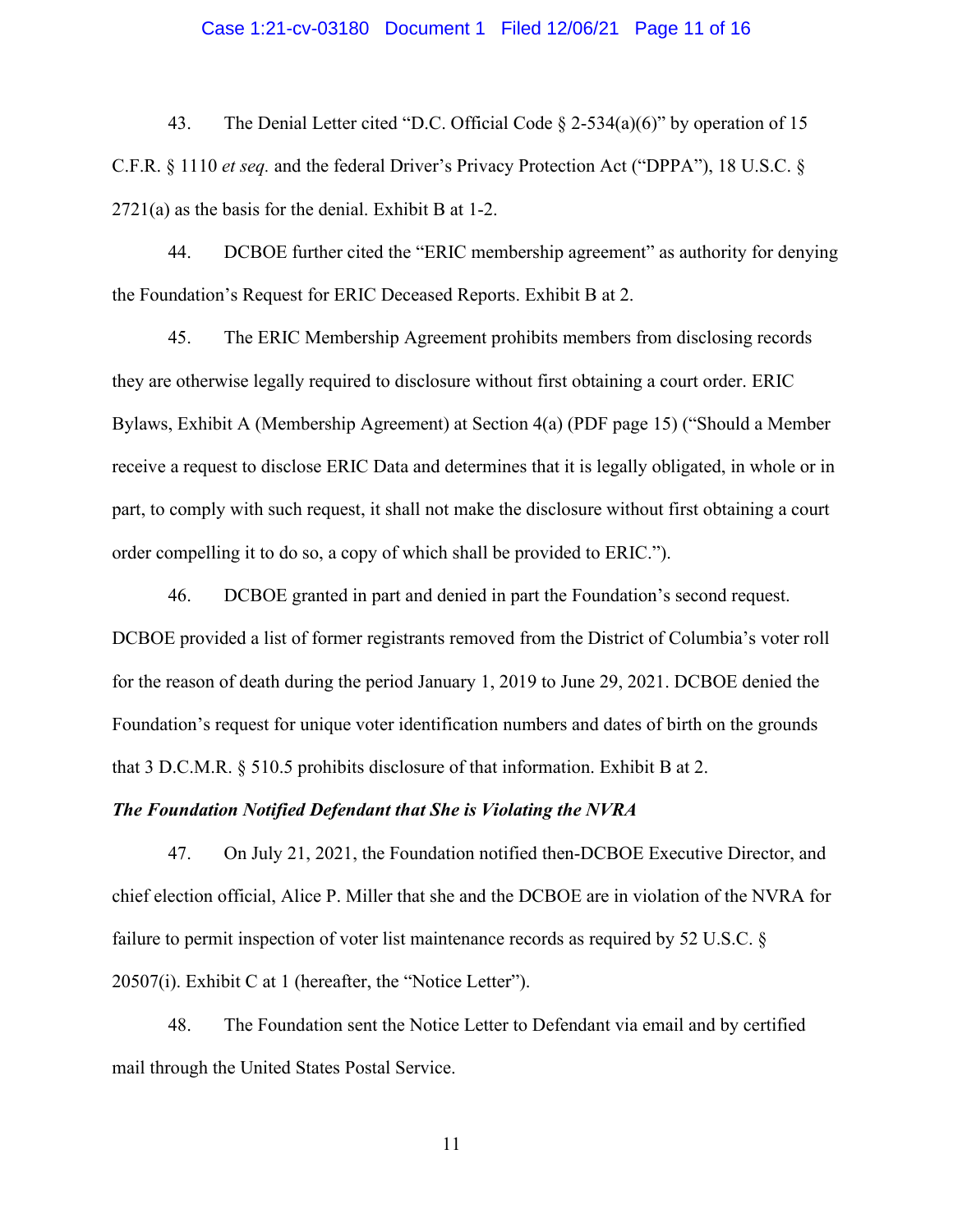### Case 1:21-cv-03180 Document 1 Filed 12/06/21 Page 11 of 16

43. The Denial Letter cited "D.C. Official Code § 2-534(a)(6)" by operation of 15 C.F.R. § 1110 *et seq.* and the federal Driver's Privacy Protection Act ("DPPA"), 18 U.S.C. § 2721(a) as the basis for the denial. Exhibit B at 1-2.

44. DCBOE further cited the "ERIC membership agreement" as authority for denying the Foundation's Request for ERIC Deceased Reports. Exhibit B at 2.

45. The ERIC Membership Agreement prohibits members from disclosing records they are otherwise legally required to disclosure without first obtaining a court order. ERIC Bylaws, Exhibit A (Membership Agreement) at Section 4(a) (PDF page 15) ("Should a Member receive a request to disclose ERIC Data and determines that it is legally obligated, in whole or in part, to comply with such request, it shall not make the disclosure without first obtaining a court order compelling it to do so, a copy of which shall be provided to ERIC.").

46. DCBOE granted in part and denied in part the Foundation's second request. DCBOE provided a list of former registrants removed from the District of Columbia's voter roll for the reason of death during the period January 1, 2019 to June 29, 2021. DCBOE denied the Foundation's request for unique voter identification numbers and dates of birth on the grounds that 3 D.C.M.R. § 510.5 prohibits disclosure of that information. Exhibit B at 2.

### *The Foundation Notified Defendant that She is Violating the NVRA*

47. On July 21, 2021, the Foundation notified then-DCBOE Executive Director, and chief election official, Alice P. Miller that she and the DCBOE are in violation of the NVRA for failure to permit inspection of voter list maintenance records as required by 52 U.S.C. § 20507(i). Exhibit C at 1 (hereafter, the "Notice Letter").

48. The Foundation sent the Notice Letter to Defendant via email and by certified mail through the United States Postal Service.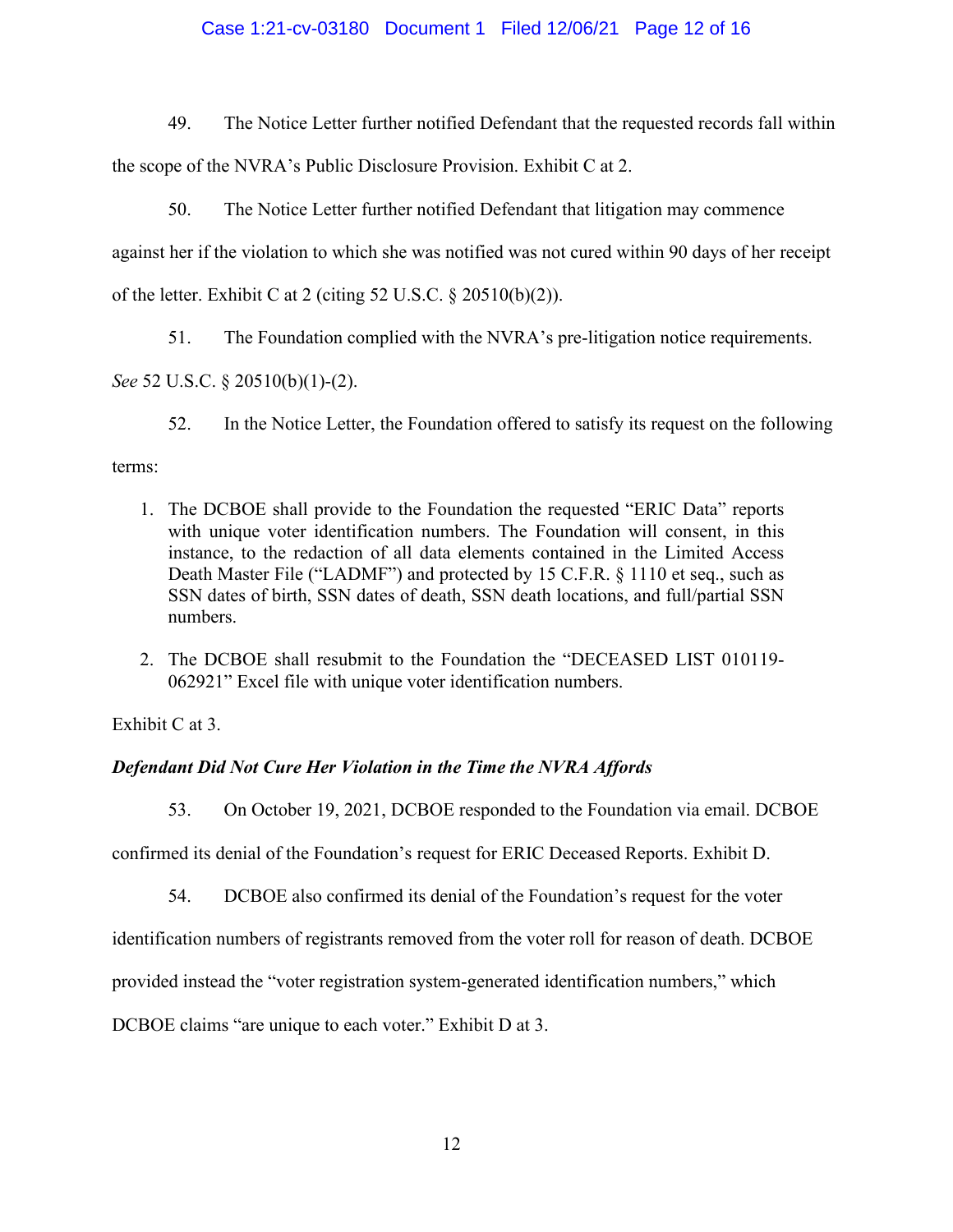# Case 1:21-cv-03180 Document 1 Filed 12/06/21 Page 12 of 16

49. The Notice Letter further notified Defendant that the requested records fall within the scope of the NVRA's Public Disclosure Provision. Exhibit C at 2.

50. The Notice Letter further notified Defendant that litigation may commence against her if the violation to which she was notified was not cured within 90 days of her receipt of the letter. Exhibit C at 2 (citing 52 U.S.C. § 20510(b)(2)).

51. The Foundation complied with the NVRA's pre-litigation notice requirements.

*See* 52 U.S.C. § 20510(b)(1)-(2).

52. In the Notice Letter, the Foundation offered to satisfy its request on the following

# terms:

- 1. The DCBOE shall provide to the Foundation the requested "ERIC Data" reports with unique voter identification numbers. The Foundation will consent, in this instance, to the redaction of all data elements contained in the Limited Access Death Master File ("LADMF") and protected by 15 C.F.R. § 1110 et seq., such as SSN dates of birth, SSN dates of death, SSN death locations, and full/partial SSN numbers.
- 2. The DCBOE shall resubmit to the Foundation the "DECEASED LIST 010119- 062921" Excel file with unique voter identification numbers.

Exhibit C at 3.

# *Defendant Did Not Cure Her Violation in the Time the NVRA Affords*

53. On October 19, 2021, DCBOE responded to the Foundation via email. DCBOE

confirmed its denial of the Foundation's request for ERIC Deceased Reports. Exhibit D.

54. DCBOE also confirmed its denial of the Foundation's request for the voter

identification numbers of registrants removed from the voter roll for reason of death. DCBOE

provided instead the "voter registration system-generated identification numbers," which

DCBOE claims "are unique to each voter." Exhibit D at 3.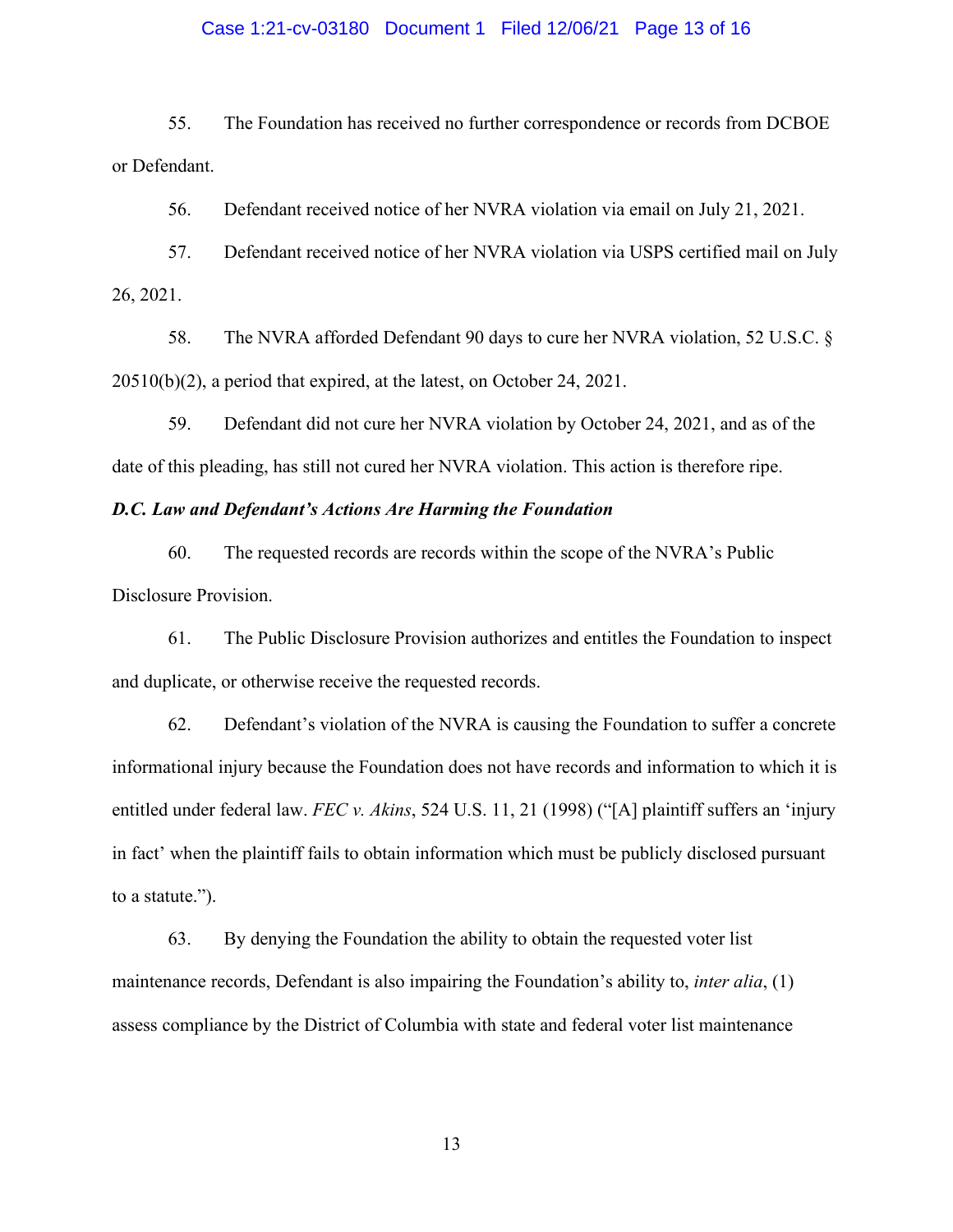### Case 1:21-cv-03180 Document 1 Filed 12/06/21 Page 13 of 16

55. The Foundation has received no further correspondence or records from DCBOE or Defendant.

56. Defendant received notice of her NVRA violation via email on July 21, 2021.

57. Defendant received notice of her NVRA violation via USPS certified mail on July 26, 2021.

58. The NVRA afforded Defendant 90 days to cure her NVRA violation, 52 U.S.C. § 20510(b)(2), a period that expired, at the latest, on October 24, 2021.

59. Defendant did not cure her NVRA violation by October 24, 2021, and as of the date of this pleading, has still not cured her NVRA violation. This action is therefore ripe.

### *D.C. Law and Defendant's Actions Are Harming the Foundation*

60. The requested records are records within the scope of the NVRA's Public Disclosure Provision.

61. The Public Disclosure Provision authorizes and entitles the Foundation to inspect and duplicate, or otherwise receive the requested records.

62. Defendant's violation of the NVRA is causing the Foundation to suffer a concrete informational injury because the Foundation does not have records and information to which it is entitled under federal law. *FEC v. Akins*, 524 U.S. 11, 21 (1998) ("[A] plaintiff suffers an 'injury in fact' when the plaintiff fails to obtain information which must be publicly disclosed pursuant to a statute.").

63. By denying the Foundation the ability to obtain the requested voter list maintenance records, Defendant is also impairing the Foundation's ability to, *inter alia*, (1) assess compliance by the District of Columbia with state and federal voter list maintenance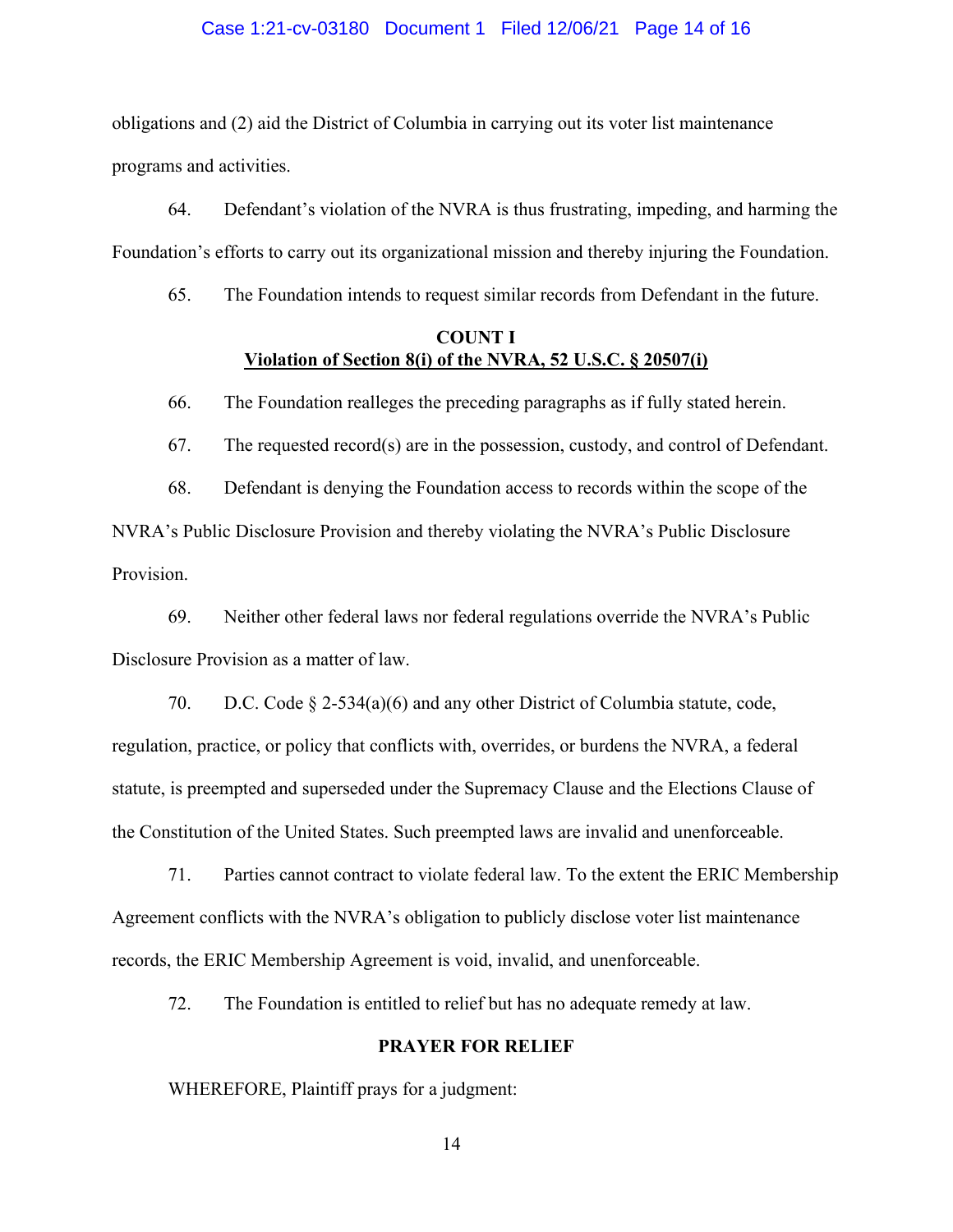#### Case 1:21-cv-03180 Document 1 Filed 12/06/21 Page 14 of 16

obligations and (2) aid the District of Columbia in carrying out its voter list maintenance programs and activities.

64. Defendant's violation of the NVRA is thus frustrating, impeding, and harming the Foundation's efforts to carry out its organizational mission and thereby injuring the Foundation.

65. The Foundation intends to request similar records from Defendant in the future.

# **COUNT I Violation of Section 8(i) of the NVRA, 52 U.S.C. § 20507(i)**

66. The Foundation realleges the preceding paragraphs as if fully stated herein.

67. The requested record(s) are in the possession, custody, and control of Defendant.

68. Defendant is denying the Foundation access to records within the scope of the NVRA's Public Disclosure Provision and thereby violating the NVRA's Public Disclosure Provision.

69. Neither other federal laws nor federal regulations override the NVRA's Public Disclosure Provision as a matter of law.

70. D.C. Code § 2-534(a)(6) and any other District of Columbia statute, code, regulation, practice, or policy that conflicts with, overrides, or burdens the NVRA, a federal statute, is preempted and superseded under the Supremacy Clause and the Elections Clause of the Constitution of the United States. Such preempted laws are invalid and unenforceable.

71. Parties cannot contract to violate federal law. To the extent the ERIC Membership Agreement conflicts with the NVRA's obligation to publicly disclose voter list maintenance records, the ERIC Membership Agreement is void, invalid, and unenforceable.

72. The Foundation is entitled to relief but has no adequate remedy at law.

# **PRAYER FOR RELIEF**

WHEREFORE, Plaintiff prays for a judgment: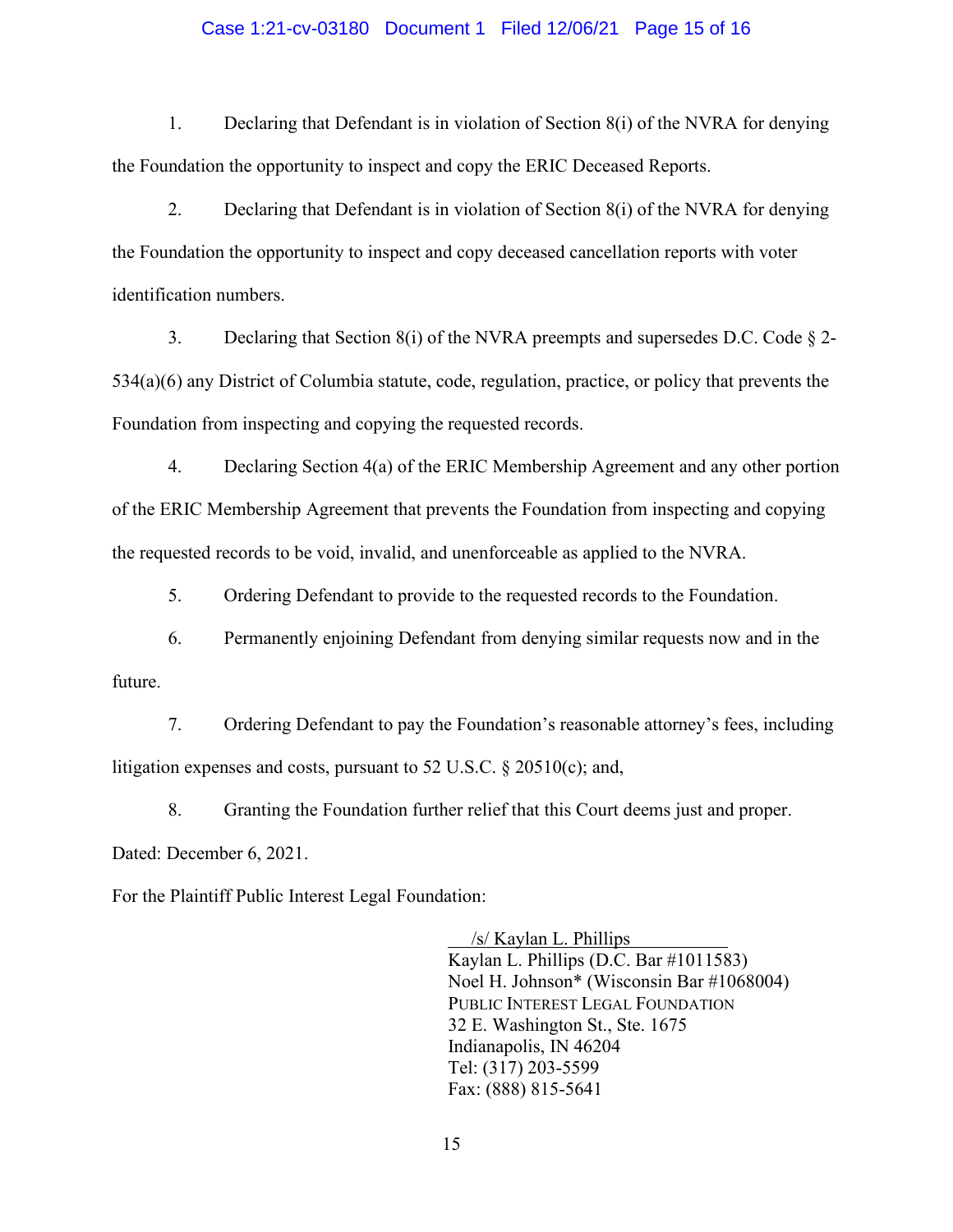### Case 1:21-cv-03180 Document 1 Filed 12/06/21 Page 15 of 16

1. Declaring that Defendant is in violation of Section 8(i) of the NVRA for denying the Foundation the opportunity to inspect and copy the ERIC Deceased Reports.

2. Declaring that Defendant is in violation of Section 8(i) of the NVRA for denying the Foundation the opportunity to inspect and copy deceased cancellation reports with voter identification numbers.

3. Declaring that Section  $8(i)$  of the NVRA preempts and supersedes D.C. Code  $\S$  2-534(a)(6) any District of Columbia statute, code, regulation, practice, or policy that prevents the Foundation from inspecting and copying the requested records.

4. Declaring Section 4(a) of the ERIC Membership Agreement and any other portion of the ERIC Membership Agreement that prevents the Foundation from inspecting and copying the requested records to be void, invalid, and unenforceable as applied to the NVRA.

5. Ordering Defendant to provide to the requested records to the Foundation.

6. Permanently enjoining Defendant from denying similar requests now and in the future.

7. Ordering Defendant to pay the Foundation's reasonable attorney's fees, including litigation expenses and costs, pursuant to 52 U.S.C. § 20510(c); and,

8. Granting the Foundation further relief that this Court deems just and proper.

Dated: December 6, 2021.

For the Plaintiff Public Interest Legal Foundation:

 /s/ Kaylan L. Phillips Kaylan L. Phillips (D.C. Bar #1011583) Noel H. Johnson\* (Wisconsin Bar #1068004) PUBLIC INTEREST LEGAL FOUNDATION 32 E. Washington St., Ste. 1675 Indianapolis, IN 46204 Tel: (317) 203-5599 Fax: (888) 815-5641